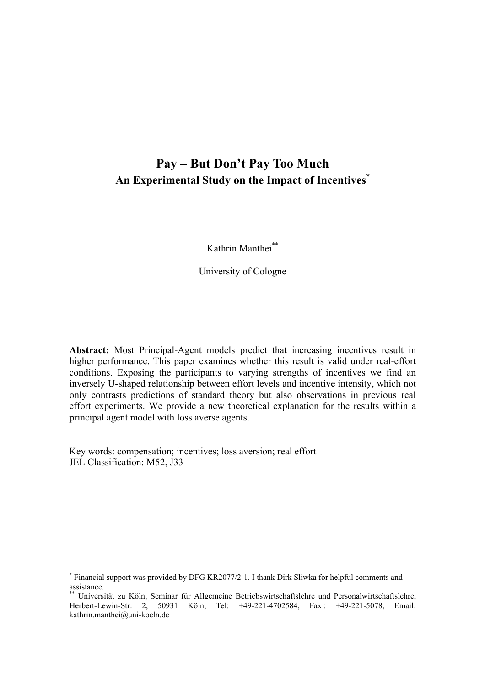# **Pay – But Don't Pay Too Much An Experimental Study on the Impact of Incentives[\\*](#page-0-0)**

Kathrin Manthei[\\*\\*](#page-0-1)

University of Cologne

**Abstract:** Most Principal-Agent models predict that increasing incentives result in higher performance. This paper examines whether this result is valid under real-effort conditions. Exposing the participants to varying strengths of incentives we find an inversely U-shaped relationship between effort levels and incentive intensity, which not only contrasts predictions of standard theory but also observations in previous real effort experiments. We provide a new theoretical explanation for the results within a principal agent model with loss averse agents.

Key words: compensation; incentives; loss aversion; real effort JEL Classification: M52, J33

<span id="page-0-0"></span><sup>\*</sup> Financial support was provided by DFG KR2077/2-1. I thank Dirk Sliwka for helpful comments and assistance.

<span id="page-0-1"></span>Universität zu Köln, Seminar für Allgemeine Betriebswirtschaftslehre und Personalwirtschaftslehre, Herbert-Lewin-Str. 2, 50931 Köln, Tel: +49-221-4702584, Fax : +49-221-5078, Email: kathrin.manthei@uni-koeln.de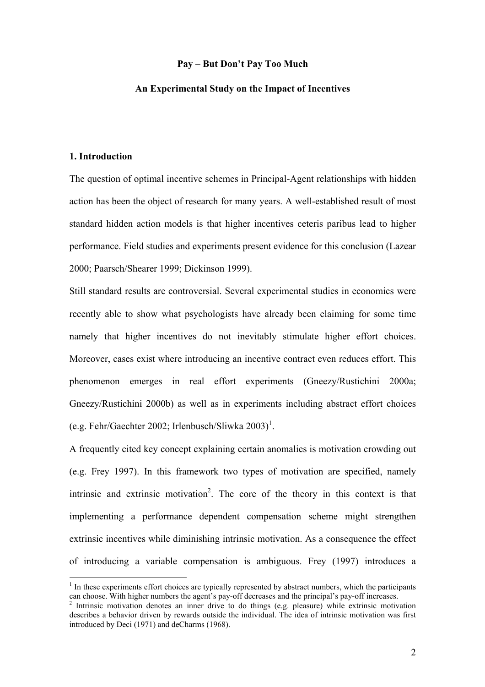#### **Pay – But Don't Pay Too Much**

#### **An Experimental Study on the Impact of Incentives**

#### **1. Introduction**

The question of optimal incentive schemes in Principal-Agent relationships with hidden action has been the object of research for many years. A well-established result of most standard hidden action models is that higher incentives ceteris paribus lead to higher performance. Field studies and experiments present evidence for this conclusion (Lazear 2000; Paarsch/Shearer 1999; Dickinson 1999).

Still standard results are controversial. Several experimental studies in economics were recently able to show what psychologists have already been claiming for some time namely that higher incentives do not inevitably stimulate higher effort choices. Moreover, cases exist where introducing an incentive contract even reduces effort. This phenomenon emerges in real effort experiments (Gneezy/Rustichini 2000a; Gneezy/Rustichini 2000b) as well as in experiments including abstract effort choices (e.g. Fehr/Gaechter 2002; Irlenbusch/Sliwka  $2003$ <sup>[1](#page-1-0)</sup>.

A frequently cited key concept explaining certain anomalies is motivation crowding out (e.g. Frey 1997). In this framework two types of motivation are specified, namely intrinsic and extrinsic motivation<sup>[2](#page-1-1)</sup>. The core of the theory in this context is that implementing a performance dependent compensation scheme might strengthen extrinsic incentives while diminishing intrinsic motivation. As a consequence the effect of introducing a variable compensation is ambiguous. Frey (1997) introduces a

<span id="page-1-0"></span><sup>&</sup>lt;sup>1</sup> In these experiments effort choices are typically represented by abstract numbers, which the participants can choose. With higher numbers the agent's pay-off decreases and the principal's pay-off increases.

<span id="page-1-1"></span><sup>&</sup>lt;sup>2</sup> Intrinsic motivation denotes an inner drive to do things (e.g. pleasure) while extrinsic motivation describes a behavior driven by rewards outside the individual. The idea of intrinsic motivation was first introduced by Deci (1971) and deCharms (1968).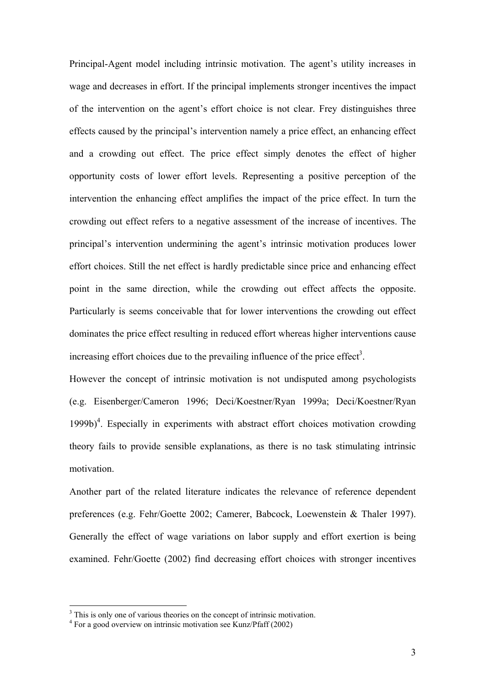Principal-Agent model including intrinsic motivation. The agent's utility increases in wage and decreases in effort. If the principal implements stronger incentives the impact of the intervention on the agent's effort choice is not clear. Frey distinguishes three effects caused by the principal's intervention namely a price effect, an enhancing effect and a crowding out effect. The price effect simply denotes the effect of higher opportunity costs of lower effort levels. Representing a positive perception of the intervention the enhancing effect amplifies the impact of the price effect. In turn the crowding out effect refers to a negative assessment of the increase of incentives. The principal's intervention undermining the agent's intrinsic motivation produces lower effort choices. Still the net effect is hardly predictable since price and enhancing effect point in the same direction, while the crowding out effect affects the opposite. Particularly is seems conceivable that for lower interventions the crowding out effect dominates the price effect resulting in reduced effort whereas higher interventions cause increasing effort choices due to the prevailing influence of the price effect<sup>[3](#page-2-0)</sup>.

However the concept of intrinsic motivation is not undisputed among psychologists (e.g. Eisenberger/Cameron 1996; Deci/Koestner/Ryan 1999a; Deci/Koestner/Ryan 1999b)<sup>[4](#page-2-1)</sup>. Especially in experiments with abstract effort choices motivation crowding theory fails to provide sensible explanations, as there is no task stimulating intrinsic motivation.

Another part of the related literature indicates the relevance of reference dependent preferences (e.g. Fehr/Goette 2002; Camerer, Babcock, Loewenstein & Thaler 1997). Generally the effect of wage variations on labor supply and effort exertion is being examined. Fehr/Goette (2002) find decreasing effort choices with stronger incentives

<span id="page-2-0"></span><sup>&</sup>lt;sup>3</sup> This is only one of various theories on the concept of intrinsic motivation.

<span id="page-2-1"></span><sup>&</sup>lt;sup>4</sup> For a good overview on intrinsic motivation see Kunz/Pfaff (2002)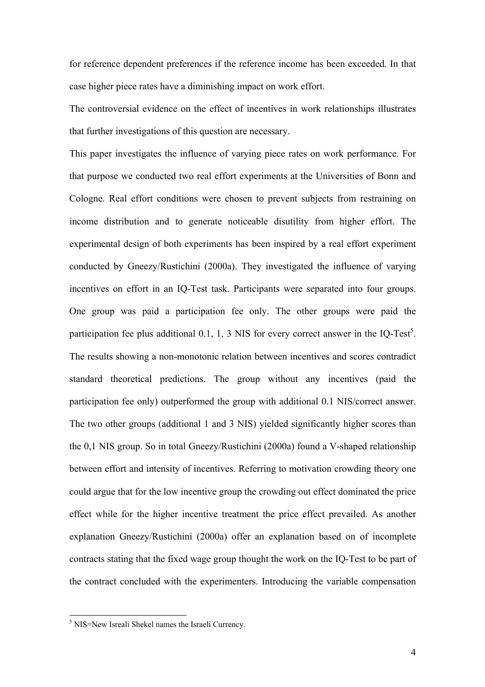for reference dependent preferences if the reference income has been exceeded. In that case higher piece rates have a diminishing impact on work effort.

The controversial evidence on the effect of incentives in work relationships illustrates that further investigations of this question are necessary.

This paper investigates the influence of varying piece rates on work performance. For that purpose we conducted two real effort experiments at the Universities of Bonn and Cologne. Real effort conditions were chosen to prevent subjects from restraining on income distribution and to generate noticeable disutility from higher effort. The experimental design of both experiments has been inspired by a real effort experiment conducted by Gneezy/Rustichini (2000a). They investigated the influence of varying incentives on effort in an IQ-Test task. Participants were separated into four groups. One group was paid a participation fee only. The other groups were paid the participation fee plus additional 0.1, 1, 3 NIS for every correct answer in the IQ-Test<sup>5</sup>. The results showing a non-monotonic relation between incentives and scores contradict standard theoretical predictions. The group without any incentives (paid the participation fee only) outperformed the group with additional 0.1 NIS/correct answer. The two other groups (additional 1 and 3 NIS) yielded significantly higher scores than the 0,1 NIS group. So in total Gneezy/Rustichini (2000a) found a V-shaped relationship between effort and intensity of incentives. Referring to motivation crowding theory one could argue that for the low incentive group the crowding out effect dominated the price effect while for the higher incentive treatment the price effect prevailed. As another explanation Gneezy/Rustichini (2000a) offer an explanation based on of incomplete contracts stating that the fixed wage group thought the work on the IQ-Test to be part of the contract concluded with the experimenters. Introducing the variable compensation

<span id="page-3-0"></span><sup>&</sup>lt;sup>5</sup> NIS=New Isreali Shekel names the Israeli Currency.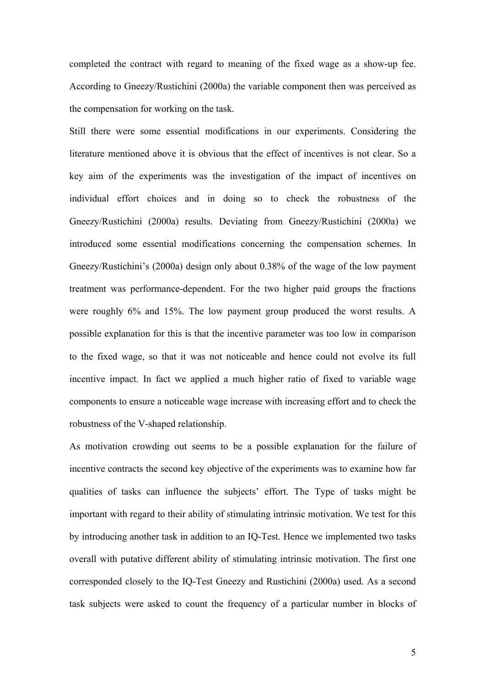completed the contract with regard to meaning of the fixed wage as a show-up fee. According to Gneezy/Rustichini (2000a) the variable component then was perceived as the compensation for working on the task.

Still there were some essential modifications in our experiments. Considering the literature mentioned above it is obvious that the effect of incentives is not clear. So a key aim of the experiments was the investigation of the impact of incentives on individual effort choices and in doing so to check the robustness of the Gneezy/Rustichini (2000a) results. Deviating from Gneezy/Rustichini (2000a) we introduced some essential modifications concerning the compensation schemes. In Gneezy/Rustichini's (2000a) design only about 0.38% of the wage of the low payment treatment was performance-dependent. For the two higher paid groups the fractions were roughly 6% and 15%. The low payment group produced the worst results. A possible explanation for this is that the incentive parameter was too low in comparison to the fixed wage, so that it was not noticeable and hence could not evolve its full incentive impact. In fact we applied a much higher ratio of fixed to variable wage components to ensure a noticeable wage increase with increasing effort and to check the robustness of the V-shaped relationship.

As motivation crowding out seems to be a possible explanation for the failure of incentive contracts the second key objective of the experiments was to examine how far qualities of tasks can influence the subjects' effort. The Type of tasks might be important with regard to their ability of stimulating intrinsic motivation. We test for this by introducing another task in addition to an IQ-Test. Hence we implemented two tasks overall with putative different ability of stimulating intrinsic motivation. The first one corresponded closely to the IQ-Test Gneezy and Rustichini (2000a) used. As a second task subjects were asked to count the frequency of a particular number in blocks of

5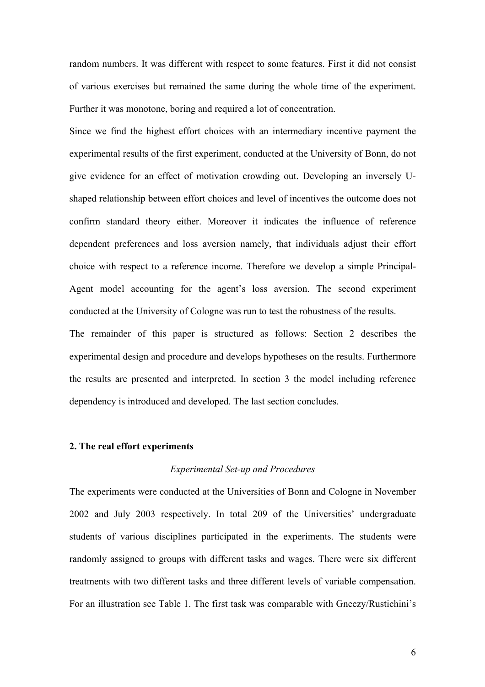random numbers. It was different with respect to some features. First it did not consist of various exercises but remained the same during the whole time of the experiment. Further it was monotone, boring and required a lot of concentration.

Since we find the highest effort choices with an intermediary incentive payment the experimental results of the first experiment, conducted at the University of Bonn, do not give evidence for an effect of motivation crowding out. Developing an inversely Ushaped relationship between effort choices and level of incentives the outcome does not confirm standard theory either. Moreover it indicates the influence of reference dependent preferences and loss aversion namely, that individuals adjust their effort choice with respect to a reference income. Therefore we develop a simple Principal-Agent model accounting for the agent's loss aversion. The second experiment conducted at the University of Cologne was run to test the robustness of the results.

The remainder of this paper is structured as follows: Section 2 describes the experimental design and procedure and develops hypotheses on the results. Furthermore the results are presented and interpreted. In section 3 the model including reference dependency is introduced and developed. The last section concludes.

#### **2. The real effort experiments**

#### *Experimental Set-up and Procedures*

The experiments were conducted at the Universities of Bonn and Cologne in November 2002 and July 2003 respectively. In total 209 of the Universities' undergraduate students of various disciplines participated in the experiments. The students were randomly assigned to groups with different tasks and wages. There were six different treatments with two different tasks and three different levels of variable compensation. For an illustration see Table 1. The first task was comparable with Gneezy/Rustichini's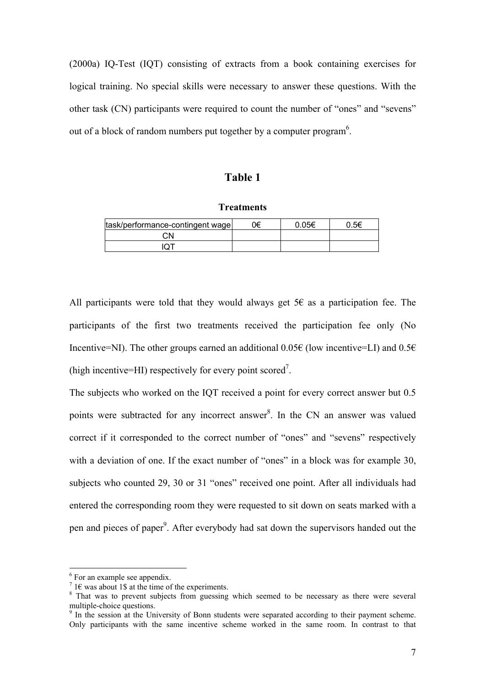(2000a) IQ-Test (IQT) consisting of extracts from a book containing exercises for logical training. No special skills were necessary to answer these questions. With the other task (CN) participants were required to count the number of "ones" and "sevens" out of a block of random numbers put together by a computer program<sup>[6](#page-6-0)</sup>.

### **Table 1**

**Treatments**

| task/performance-contingent wage | 0€ | 0.05€ | ი 5€ |
|----------------------------------|----|-------|------|
| ۰Ν                               |    |       |      |
|                                  |    |       |      |

All participants were told that they would always get  $56$  as a participation fee. The participants of the first two treatments received the participation fee only (No Incentive=NI). The other groups earned an additional 0.05€ (low incentive=LI) and  $0.5\epsilon$ (high incentive=HI) respectively for every point scored<sup>[7](#page-6-1)</sup>.

The subjects who worked on the IQT received a point for every correct answer but 0.5 points were subtracted for any incorrect answer<sup>[8](#page-6-2)</sup>. In the CN an answer was valued correct if it corresponded to the correct number of "ones" and "sevens" respectively with a deviation of one. If the exact number of "ones" in a block was for example 30, subjects who counted 29, 30 or 31 "ones" received one point. After all individuals had entered the corresponding room they were requested to sit down on seats marked with a pen and pieces of paper<sup>9</sup>. After everybody had sat down the supervisors handed out the

<span id="page-6-0"></span> $^{6}$  For an example see appendix.

<span id="page-6-1"></span><sup>&</sup>lt;sup>7</sup> 1 $\epsilon$  was about 1\$ at the time of the experiments.

<span id="page-6-2"></span><sup>&</sup>lt;sup>8</sup> That was to prevent subjects from guessing which seemed to be necessary as there were several multiple-choice questions. 9

<span id="page-6-3"></span> $\frac{9}{9}$  In the session at the University of Bonn students were separated according to their payment scheme. Only participants with the same incentive scheme worked in the same room. In contrast to that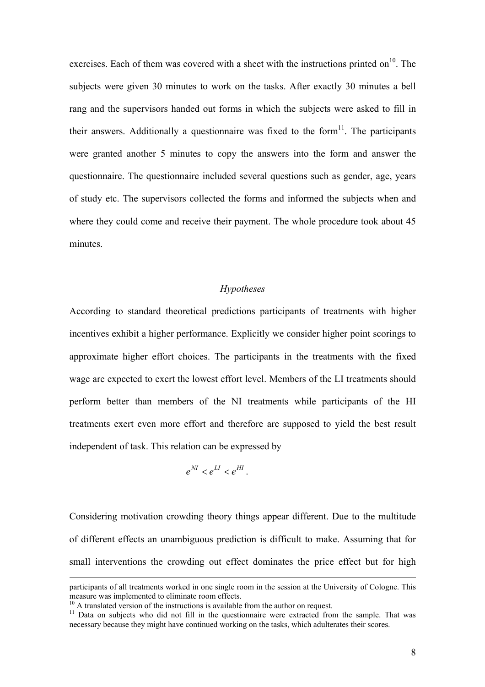exercises. Each of them was covered with a sheet with the instructions printed on<sup>10</sup>. The subjects were given 30 minutes to work on the tasks. After exactly 30 minutes a bell rang and the supervisors handed out forms in which the subjects were asked to fill in their answers. Additionally a questionnaire was fixed to the form $11$ . The participants were granted another 5 minutes to copy the answers into the form and answer the questionnaire. The questionnaire included several questions such as gender, age, years of study etc. The supervisors collected the forms and informed the subjects when and where they could come and receive their payment. The whole procedure took about 45 minutes.

#### *Hypotheses*

According to standard theoretical predictions participants of treatments with higher incentives exhibit a higher performance. Explicitly we consider higher point scorings to approximate higher effort choices. The participants in the treatments with the fixed wage are expected to exert the lowest effort level. Members of the LI treatments should perform better than members of the NI treatments while participants of the HI treatments exert even more effort and therefore are supposed to yield the best result independent of task. This relation can be expressed by

$$
e^M < e^M < e^H.
$$

Considering motivation crowding theory things appear different. Due to the multitude of different effects an unambiguous prediction is difficult to make. Assuming that for small interventions the crowding out effect dominates the price effect but for high

participants of all treatments worked in one single room in the session at the University of Cologne. This measure was implemented to eliminate room effects.

<span id="page-7-1"></span>

<span id="page-7-0"></span> $^{10}$  A translated version of the instructions is available from the author on request.<br><sup>11</sup> Data on subjects who did not fill in the questionnaire were extracted from the sample. That was necessary because they might have continued working on the tasks, which adulterates their scores.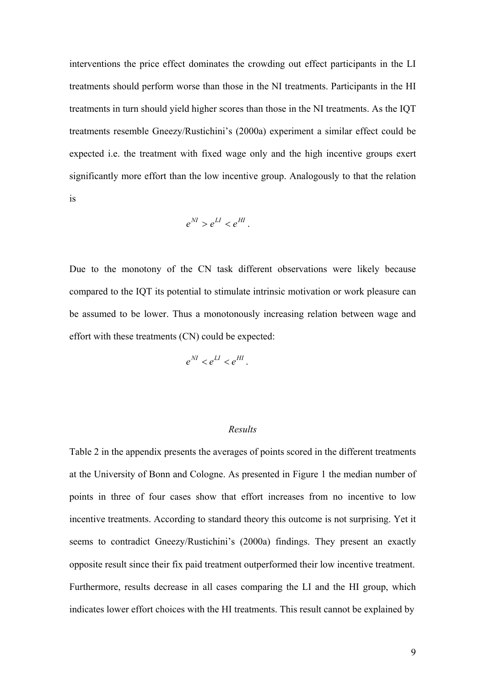interventions the price effect dominates the crowding out effect participants in the LI treatments should perform worse than those in the NI treatments. Participants in the HI treatments in turn should yield higher scores than those in the NI treatments. As the IQT treatments resemble Gneezy/Rustichini's (2000a) experiment a similar effect could be expected i.e. the treatment with fixed wage only and the high incentive groups exert significantly more effort than the low incentive group. Analogously to that the relation is

$$
e^{NI} > e^{LI} < e^{HI}.
$$

Due to the monotony of the CN task different observations were likely because compared to the IQT its potential to stimulate intrinsic motivation or work pleasure can be assumed to be lower. Thus a monotonously increasing relation between wage and effort with these treatments (CN) could be expected:

 $e^{M} < e^{LI} < e^{HI}$ .

#### *Results*

Table 2 in the appendix presents the averages of points scored in the different treatments at the University of Bonn and Cologne. As presented in Figure 1 the median number of points in three of four cases show that effort increases from no incentive to low incentive treatments. According to standard theory this outcome is not surprising. Yet it seems to contradict Gneezy/Rustichini's (2000a) findings. They present an exactly opposite result since their fix paid treatment outperformed their low incentive treatment. Furthermore, results decrease in all cases comparing the LI and the HI group, which indicates lower effort choices with the HI treatments. This result cannot be explained by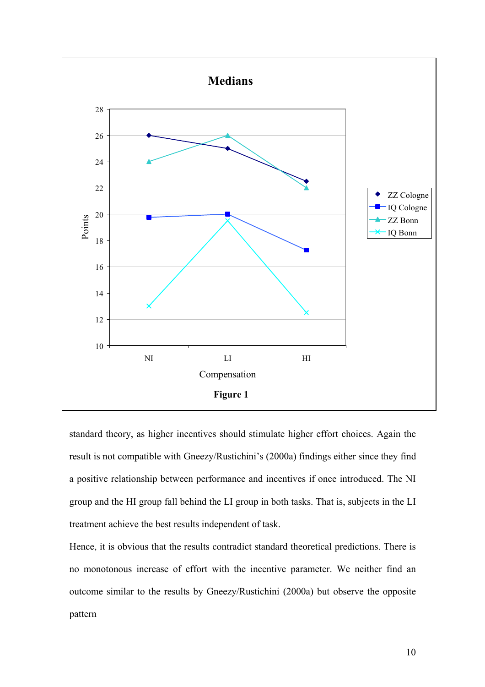

standard theory, as higher incentives should stimulate higher effort choices. Again the result is not compatible with Gneezy/Rustichini's (2000a) findings either since they find a positive relationship between performance and incentives if once introduced. The NI group and the HI group fall behind the LI group in both tasks. That is, subjects in the LI treatment achieve the best results independent of task.

Hence, it is obvious that the results contradict standard theoretical predictions. There is no monotonous increase of effort with the incentive parameter. We neither find an outcome similar to the results by Gneezy/Rustichini (2000a) but observe the opposite pattern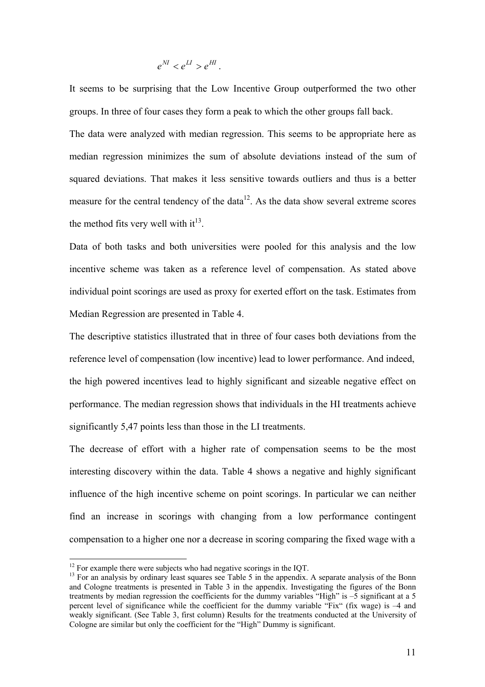### $e^{NI} < e^{LI} > e^{HI}$ .

It seems to be surprising that the Low Incentive Group outperformed the two other groups. In three of four cases they form a peak to which the other groups fall back. The data were analyzed with median regression. This seems to be appropriate here as median regression minimizes the sum of absolute deviations instead of the sum of squared deviations. That makes it less sensitive towards outliers and thus is a better measure for the central tendency of the data $12$ . As the data show several extreme scores the method fits very well with  $it^{13}$ .

Data of both tasks and both universities were pooled for this analysis and the low incentive scheme was taken as a reference level of compensation. As stated above individual point scorings are used as proxy for exerted effort on the task. Estimates from Median Regression are presented in Table 4.

The descriptive statistics illustrated that in three of four cases both deviations from the reference level of compensation (low incentive) lead to lower performance. And indeed, the high powered incentives lead to highly significant and sizeable negative effect on performance. The median regression shows that individuals in the HI treatments achieve significantly 5,47 points less than those in the LI treatments.

The decrease of effort with a higher rate of compensation seems to be the most interesting discovery within the data. Table 4 shows a negative and highly significant influence of the high incentive scheme on point scorings. In particular we can neither find an increase in scorings with changing from a low performance contingent compensation to a higher one nor a decrease in scoring comparing the fixed wage with a

<span id="page-10-0"></span> $12$  For example there were subjects who had negative scorings in the IQT.

<span id="page-10-1"></span> $13$  For an analysis by ordinary least squares see Table 5 in the appendix. A separate analysis of the Bonn and Cologne treatments is presented in Table 3 in the appendix. Investigating the figures of the Bonn treatments by median regression the coefficients for the dummy variables "High" is –5 significant at a 5 percent level of significance while the coefficient for the dummy variable "Fix" (fix wage) is –4 and weakly significant. (See Table 3, first column) Results for the treatments conducted at the University of Cologne are similar but only the coefficient for the "High" Dummy is significant.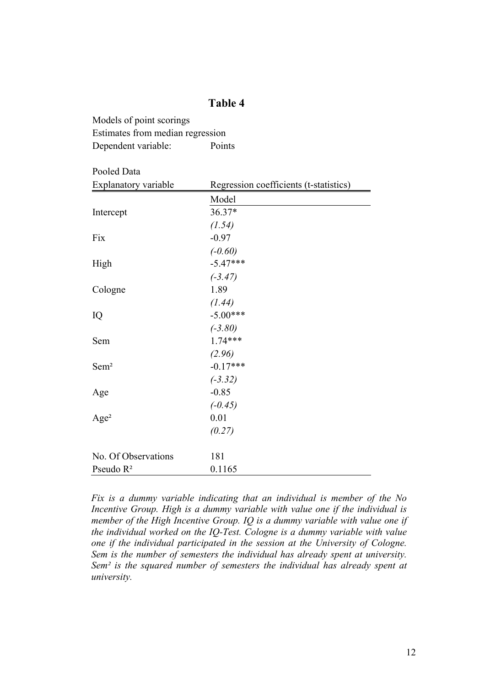### **Table 4**

Models of point scorings Estimates from median regression Dependent variable: Points

Pooled Data

| Explanatory variable | Regression coefficients (t-statistics) |  |
|----------------------|----------------------------------------|--|
|                      | Model                                  |  |
| Intercept            | 36.37*                                 |  |
|                      | (1.54)                                 |  |
| Fix                  | $-0.97$                                |  |
|                      | $(-0.60)$                              |  |
| High                 | $-5.47***$                             |  |
|                      | $(-3.47)$                              |  |
| Cologne              | 1.89                                   |  |
|                      | (1.44)                                 |  |
| IQ                   | $-5.00***$                             |  |
|                      | $(-3.80)$                              |  |
| Sem                  | $1.74***$                              |  |
|                      | (2.96)                                 |  |
| Sem <sup>2</sup>     | $-0.17***$                             |  |
|                      | $(-3.32)$                              |  |
| Age                  | $-0.85$                                |  |
|                      | $(-0.45)$                              |  |
| Age <sup>2</sup>     | 0.01                                   |  |
|                      | (0.27)                                 |  |
| No. Of Observations  | 181                                    |  |
| Pseudo $R^2$         | 0.1165                                 |  |

*Fix is a dummy variable indicating that an individual is member of the No Incentive Group. High is a dummy variable with value one if the individual is member of the High Incentive Group. IQ is a dummy variable with value one if the individual worked on the IQ-Test. Cologne is a dummy variable with value one if the individual participated in the session at the University of Cologne. Sem is the number of semesters the individual has already spent at university. Sem² is the squared number of semesters the individual has already spent at university.*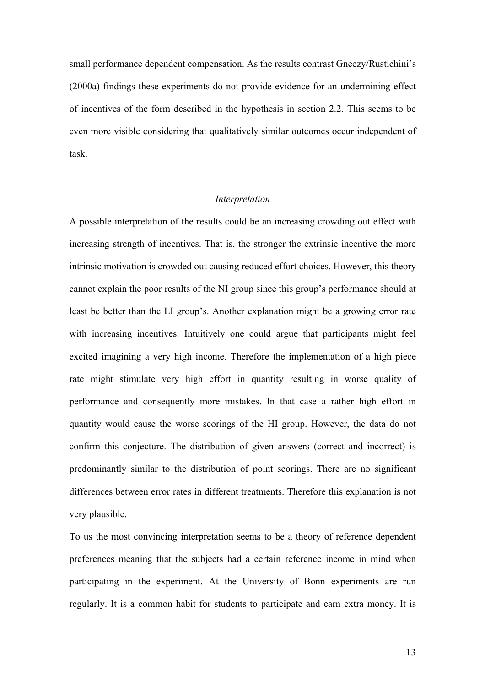small performance dependent compensation. As the results contrast Gneezy/Rustichini's (2000a) findings these experiments do not provide evidence for an undermining effect of incentives of the form described in the hypothesis in section 2.2. This seems to be even more visible considering that qualitatively similar outcomes occur independent of task.

#### *Interpretation*

A possible interpretation of the results could be an increasing crowding out effect with increasing strength of incentives. That is, the stronger the extrinsic incentive the more intrinsic motivation is crowded out causing reduced effort choices. However, this theory cannot explain the poor results of the NI group since this group's performance should at least be better than the LI group's. Another explanation might be a growing error rate with increasing incentives. Intuitively one could argue that participants might feel excited imagining a very high income. Therefore the implementation of a high piece rate might stimulate very high effort in quantity resulting in worse quality of performance and consequently more mistakes. In that case a rather high effort in quantity would cause the worse scorings of the HI group. However, the data do not confirm this conjecture. The distribution of given answers (correct and incorrect) is predominantly similar to the distribution of point scorings. There are no significant differences between error rates in different treatments. Therefore this explanation is not very plausible.

To us the most convincing interpretation seems to be a theory of reference dependent preferences meaning that the subjects had a certain reference income in mind when participating in the experiment. At the University of Bonn experiments are run regularly. It is a common habit for students to participate and earn extra money. It is

13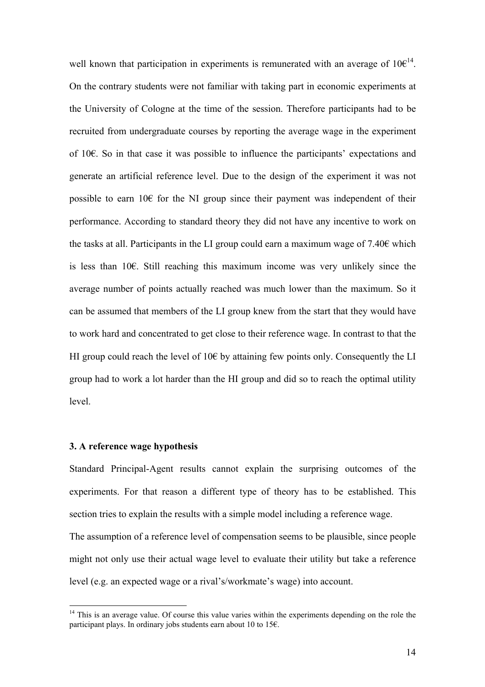well known that participation in experiments is remunerated with an average of  $10 \epsilon^{14}$ . On the contrary students were not familiar with taking part in economic experiments at the University of Cologne at the time of the session. Therefore participants had to be recruited from undergraduate courses by reporting the average wage in the experiment of 10€. So in that case it was possible to influence the participants' expectations and generate an artificial reference level. Due to the design of the experiment it was not possible to earn  $10 \epsilon$  for the NI group since their payment was independent of their performance. According to standard theory they did not have any incentive to work on the tasks at all. Participants in the LI group could earn a maximum wage of  $7.40\epsilon$  which is less than 10€. Still reaching this maximum income was very unlikely since the average number of points actually reached was much lower than the maximum. So it can be assumed that members of the LI group knew from the start that they would have to work hard and concentrated to get close to their reference wage. In contrast to that the HI group could reach the level of 10 $\epsilon$  by attaining few points only. Consequently the LI group had to work a lot harder than the HI group and did so to reach the optimal utility level.

#### **3. A reference wage hypothesis**

 $\overline{a}$ 

Standard Principal-Agent results cannot explain the surprising outcomes of the experiments. For that reason a different type of theory has to be established. This section tries to explain the results with a simple model including a reference wage. The assumption of a reference level of compensation seems to be plausible, since people might not only use their actual wage level to evaluate their utility but take a reference level (e.g. an expected wage or a rival's/workmate's wage) into account.

<span id="page-13-0"></span> $14$  This is an average value. Of course this value varies within the experiments depending on the role the participant plays. In ordinary jobs students earn about 10 to 15 $\epsilon$ .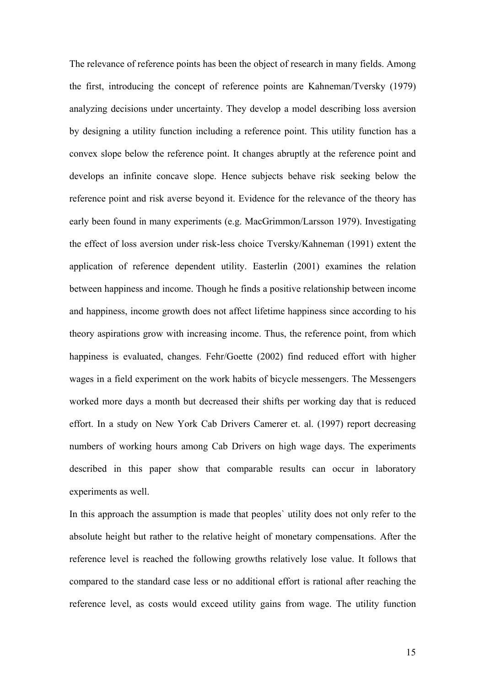The relevance of reference points has been the object of research in many fields. Among the first, introducing the concept of reference points are Kahneman/Tversky (1979) analyzing decisions under uncertainty. They develop a model describing loss aversion by designing a utility function including a reference point. This utility function has a convex slope below the reference point. It changes abruptly at the reference point and develops an infinite concave slope. Hence subjects behave risk seeking below the reference point and risk averse beyond it. Evidence for the relevance of the theory has early been found in many experiments (e.g. MacGrimmon/Larsson 1979). Investigating the effect of loss aversion under risk-less choice Tversky/Kahneman (1991) extent the application of reference dependent utility. Easterlin (2001) examines the relation between happiness and income. Though he finds a positive relationship between income and happiness, income growth does not affect lifetime happiness since according to his theory aspirations grow with increasing income. Thus, the reference point, from which happiness is evaluated, changes. Fehr/Goette (2002) find reduced effort with higher wages in a field experiment on the work habits of bicycle messengers. The Messengers worked more days a month but decreased their shifts per working day that is reduced effort. In a study on New York Cab Drivers Camerer et. al. (1997) report decreasing numbers of working hours among Cab Drivers on high wage days. The experiments described in this paper show that comparable results can occur in laboratory experiments as well.

In this approach the assumption is made that peoples` utility does not only refer to the absolute height but rather to the relative height of monetary compensations. After the reference level is reached the following growths relatively lose value. It follows that compared to the standard case less or no additional effort is rational after reaching the reference level, as costs would exceed utility gains from wage. The utility function

15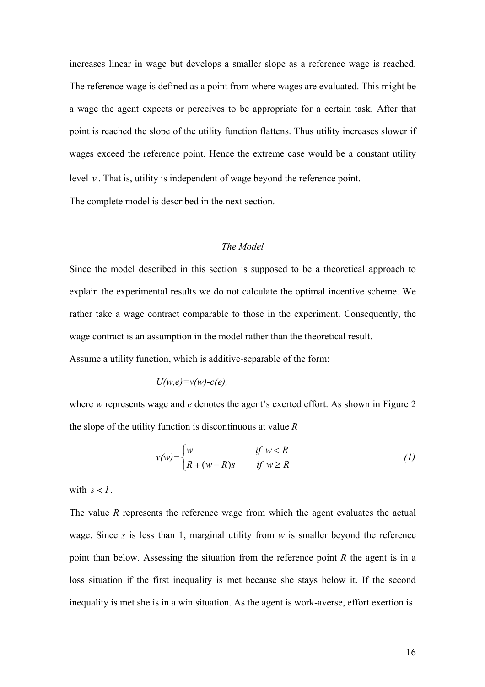increases linear in wage but develops a smaller slope as a reference wage is reached. The reference wage is defined as a point from where wages are evaluated. This might be a wage the agent expects or perceives to be appropriate for a certain task. After that point is reached the slope of the utility function flattens. Thus utility increases slower if wages exceed the reference point. Hence the extreme case would be a constant utility level  $\overline{v}$ . That is, utility is independent of wage beyond the reference point.

The complete model is described in the next section.

### *The Model*

Since the model described in this section is supposed to be a theoretical approach to explain the experimental results we do not calculate the optimal incentive scheme. We rather take a wage contract comparable to those in the experiment. Consequently, the wage contract is an assumption in the model rather than the theoretical result.

Assume a utility function, which is additive-separable of the form:

$$
U(w,e)=v(w)-c(e),
$$

where *w* represents wage and *e* denotes the agent's exerted effort. As shown in Figure 2 the slope of the utility function is discontinuous at value *R* 

$$
v(w) = \begin{cases} w & \text{if } w < R \\ R + (w - R)s & \text{if } w \ge R \end{cases}
$$
 (1)

with  $s < 1$ .

The value *R* represents the reference wage from which the agent evaluates the actual wage. Since *s* is less than 1, marginal utility from *w* is smaller beyond the reference point than below. Assessing the situation from the reference point *R* the agent is in a loss situation if the first inequality is met because she stays below it. If the second inequality is met she is in a win situation. As the agent is work-averse, effort exertion is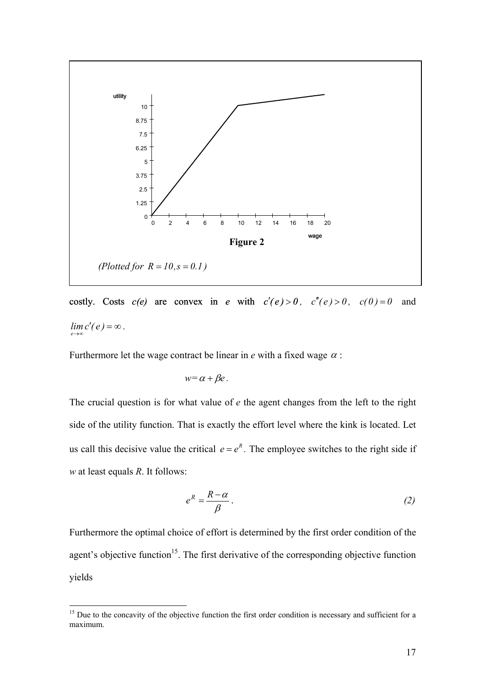

costly. Costs  $c(e)$  are convex in *e* with  $c'(e) > 0$ ,  $c''(e) > 0$ ,  $c(0) = 0$  and  $\lim_{e \to \infty} c'(e) = \infty$ . *e*

Furthermore let the wage contract be linear in  $e$  with a fixed wage  $\alpha$ :

$$
w=\alpha+\beta e.
$$

The crucial question is for what value of *e* the agent changes from the left to the right side of the utility function. That is exactly the effort level where the kink is located. Let us call this decisive value the critical  $e = e^R$ . The employee switches to the right side if *w* at least equals *R*. It follows:

$$
e^R = \frac{R - \alpha}{\beta} \,. \tag{2}
$$

Furthermore the optimal choice of effort is determined by the first order condition of the agent's objective function<sup>15</sup>. The first derivative of the corresponding objective function yields

<span id="page-16-0"></span><sup>&</sup>lt;sup>15</sup> Due to the concavity of the objective function the first order condition is necessary and sufficient for a maximum.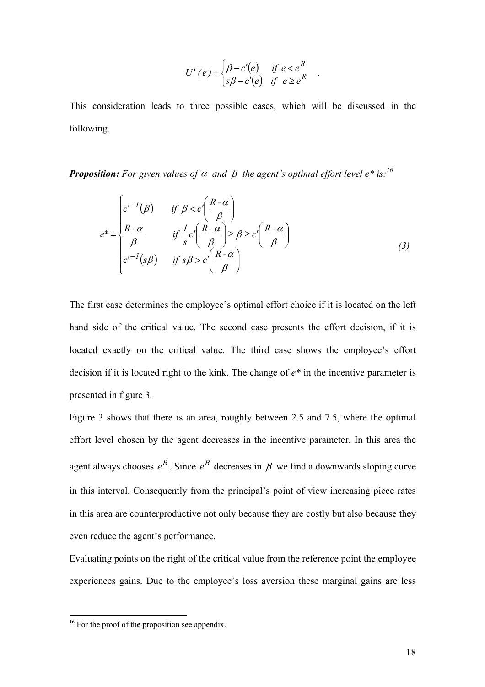$$
U'(e) = \begin{cases} \beta - c'(e) & \text{if } e < e^R \\ s\beta - c'(e) & \text{if } e \ge e^R \end{cases}.
$$

This consideration leads to three possible cases, which will be discussed in the following.

*Proposition:* For given values of  $\alpha$  and  $\beta$  the agent's optimal effort level e\* is:<sup>16</sup>

$$
e^* = \begin{cases} c'^{-1}(\beta) & \text{if } \beta < c' \left( \frac{R - \alpha}{\beta} \right) \\ \frac{R - \alpha}{\beta} & \text{if } \frac{1}{s} c' \left( \frac{R - \alpha}{\beta} \right) \ge \beta \ge c' \left( \frac{R - \alpha}{\beta} \right) \\ c'^{-1}(s\beta) & \text{if } s\beta > c' \left( \frac{R - \alpha}{\beta} \right) \end{cases}
$$
(3)

The first case determines the employee's optimal effort choice if it is located on the left hand side of the critical value. The second case presents the effort decision, if it is located exactly on the critical value. The third case shows the employee's effort decision if it is located right to the kink. The change of *e\** in the incentive parameter is presented in figure 3*.* 

Figure 3 shows that there is an area, roughly between 2.5 and 7.5, where the optimal effort level chosen by the agent decreases in the incentive parameter. In this area the agent always chooses  $e^R$ . Since  $e^R$  decreases in  $\beta$  we find a downwards sloping curve in this interval. Consequently from the principal's point of view increasing piece rates in this area are counterproductive not only because they are costly but also because they even reduce the agent's performance.

Evaluating points on the right of the critical value from the reference point the employee experiences gains. Due to the employee's loss aversion these marginal gains are less

<span id="page-17-0"></span><sup>&</sup>lt;sup>16</sup> For the proof of the proposition see appendix.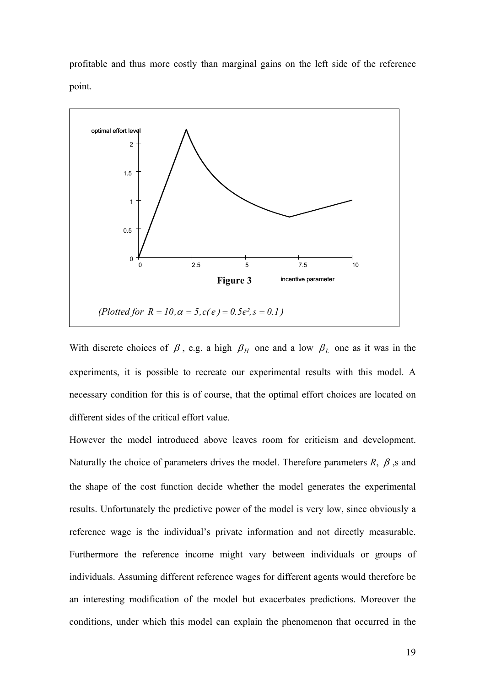profitable and thus more costly than marginal gains on the left side of the reference point.



With discrete choices of  $\beta$ , e.g. a high  $\beta_H$  one and a low  $\beta_L$  one as it was in the experiments, it is possible to recreate our experimental results with this model. A necessary condition for this is of course, that the optimal effort choices are located on different sides of the critical effort value.

However the model introduced above leaves room for criticism and development. Naturally the choice of parameters drives the model. Therefore parameters  $R$ ,  $\beta$ , s and the shape of the cost function decide whether the model generates the experimental results. Unfortunately the predictive power of the model is very low, since obviously a reference wage is the individual's private information and not directly measurable. Furthermore the reference income might vary between individuals or groups of individuals. Assuming different reference wages for different agents would therefore be an interesting modification of the model but exacerbates predictions. Moreover the conditions, under which this model can explain the phenomenon that occurred in the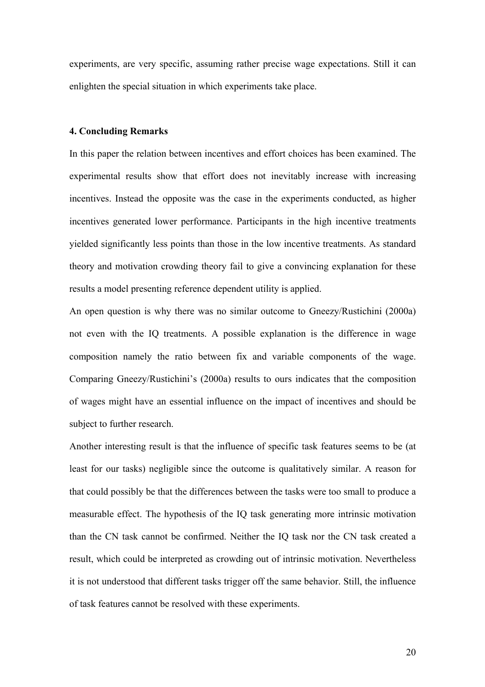experiments, are very specific, assuming rather precise wage expectations. Still it can enlighten the special situation in which experiments take place.

#### **4. Concluding Remarks**

In this paper the relation between incentives and effort choices has been examined. The experimental results show that effort does not inevitably increase with increasing incentives. Instead the opposite was the case in the experiments conducted, as higher incentives generated lower performance. Participants in the high incentive treatments yielded significantly less points than those in the low incentive treatments. As standard theory and motivation crowding theory fail to give a convincing explanation for these results a model presenting reference dependent utility is applied.

An open question is why there was no similar outcome to Gneezy/Rustichini (2000a) not even with the IQ treatments. A possible explanation is the difference in wage composition namely the ratio between fix and variable components of the wage. Comparing Gneezy/Rustichini's (2000a) results to ours indicates that the composition of wages might have an essential influence on the impact of incentives and should be subject to further research.

Another interesting result is that the influence of specific task features seems to be (at least for our tasks) negligible since the outcome is qualitatively similar. A reason for that could possibly be that the differences between the tasks were too small to produce a measurable effect. The hypothesis of the IQ task generating more intrinsic motivation than the CN task cannot be confirmed. Neither the IQ task nor the CN task created a result, which could be interpreted as crowding out of intrinsic motivation. Nevertheless it is not understood that different tasks trigger off the same behavior. Still, the influence of task features cannot be resolved with these experiments.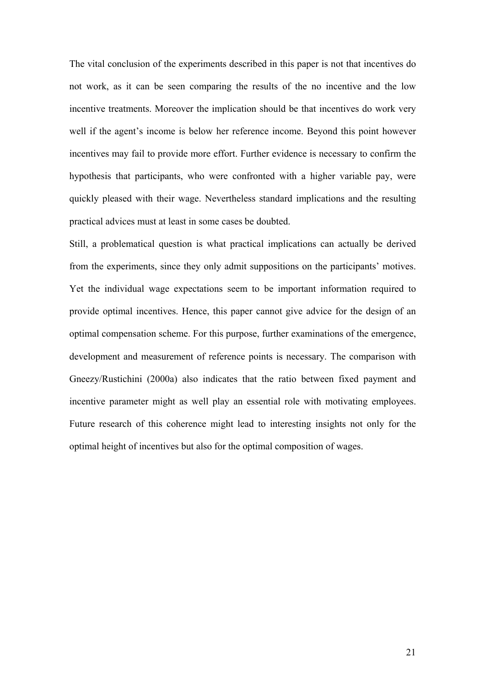The vital conclusion of the experiments described in this paper is not that incentives do not work, as it can be seen comparing the results of the no incentive and the low incentive treatments. Moreover the implication should be that incentives do work very well if the agent's income is below her reference income. Beyond this point however incentives may fail to provide more effort. Further evidence is necessary to confirm the hypothesis that participants, who were confronted with a higher variable pay, were quickly pleased with their wage. Nevertheless standard implications and the resulting practical advices must at least in some cases be doubted.

Still, a problematical question is what practical implications can actually be derived from the experiments, since they only admit suppositions on the participants' motives. Yet the individual wage expectations seem to be important information required to provide optimal incentives. Hence, this paper cannot give advice for the design of an optimal compensation scheme. For this purpose, further examinations of the emergence, development and measurement of reference points is necessary. The comparison with Gneezy/Rustichini (2000a) also indicates that the ratio between fixed payment and incentive parameter might as well play an essential role with motivating employees. Future research of this coherence might lead to interesting insights not only for the optimal height of incentives but also for the optimal composition of wages.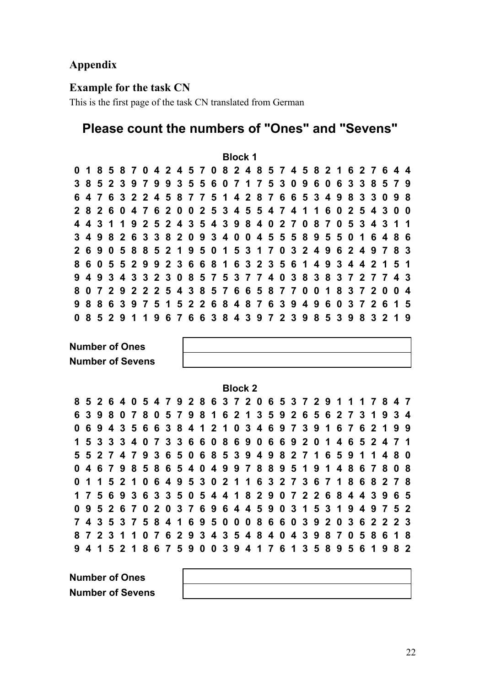## **Appendix**

## **Example for the task CN**

This is the first page of the task CN translated from German

# **Please count the numbers of "Ones" and "Sevens"**

**Block 1**  0 1 8 5 8 7 0 4 2 4 5 7 0 8 2 4 8 5 7 4 5 8 2 1 6 2 7 6 4 4 3 8 5 2 3 9 7 9 9 3 5 5 6 0 7 1 7 5 3 0 9 6 0 6 3 3 8 5 7 9 6 4 7 6 3 2 2 4 5 8 7 7 5 1 4 2 8 7 6 6 5 3 4 9 8 3 3 0 9 8 2 8 2 6 0 4 7 6 2 0 0 2 5 3 4 5 5 4 7 4 1 1 6 0 2 5 4 3 0 0 4 4 3 1 1 9 2 5 2 4 3 5 4 3 9 8 4 0 2 7 0 8 7 0 5 3 4 3 1 1 3 4 9 8 2 6 3 3 8 2 0 9 3 4 0 0 4 5 5 5 8 9 5 5 0 1 6 4 8 6 2 6 9 0 5 8 8 5 2 1 9 5 0 1 5 3 1 7 0 3 2 4 9 6 2 4 9 7 8 3 8 6 0 5 5 2 9 9 2 3 6 6 8 1 6 3 2 3 5 6 1 4 9 3 4 4 2 1 5 1 9 4 9 3 4 3 3 2 3 0 8 5 7 5 3 7 7 4 0 3 8 3 8 3 7 2 7 7 4 3 807292225438576658770018372004 9 8 8 6 3 9 7 5 1 5 2 2 6 8 4 8 7 6 3 9 4 9 6 0 3 7 2 6 1 5 0 8 5 2 9 1 1 9 6 7 6 6 3 8 4 3 9 7 2 3 9 8 5 3 9 8 3 2 1 9

**Number of Ones Number of Sevens** 

**Block 2** 

8 5 2 6 4 0 5 4 7 9 2 8 6 3 7 2 0 6 5 3 7 2 9 1 1 1 7 8 4 7 6 3 9 8 0 7 8 0 5 7 9 8 1 6 2 1 3 5 9 2 6 5 6 2 7 3 1 9 3 4 0 6 9 4 3 5 6 6 3 8 4 1 2 1 0 3 4 6 9 7 3 9 1 6 7 6 2 1 9 9 1 5 3 3 3 4 0 7 3 3 6 6 0 8 6 9 0 6 6 9 2 0 1 4 6 5 2 4 7 1 5 5 2 7 4 7 9 3 6 5 0 6 8 5 3 9 4 9 8 2 7 1 6 5 9 1 1 4 8 0 046798586540499788951914867808 0 1 1 5 2 1 0 6 4 9 5 3 0 2 1 1 6 3 2 7 3 6 7 1 8 6 8 2 7 8 175693633505441829072268443965 0 9 5 2 6 7 0 2 0 3 7 6 9 6 4 4 5 9 0 3 1 5 3 1 9 4 9 7 5 2 7 4 3 5 3 7 5 8 4 1 6 9 5 0 0 0 8 6 6 0 3 9 2 0 3 6 2 2 2 3 8 7 2 3 1 1 0 7 6 2 9 3 4 3 5 4 8 4 0 4 3 9 8 7 0 5 8 6 1 8 9 4 1 5 2 1 8 6 7 5 9 0 0 3 9 4 1 7 6 1 3 5 8 9 5 6 1 9 8 2

**Number of Ones Number of Sevens**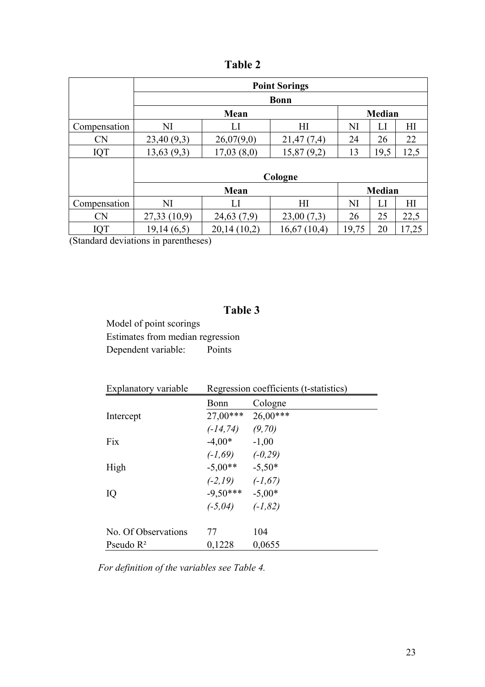|              |             |             | <b>Point Sorings</b> |       |               |       |
|--------------|-------------|-------------|----------------------|-------|---------------|-------|
|              |             |             | <b>Bonn</b>          |       |               |       |
|              |             | Mean        |                      |       | <b>Median</b> |       |
| Compensation | NI          | LI          | H <sub>I</sub>       | NI    | П             | H     |
| <b>CN</b>    | 23,40(9,3)  | 26,07(9,0)  | 21,47(7,4)           | 24    | 26            | 22    |
| IQT          | 13,63(9,3)  | 17,03(8,0)  | 15,87(9,2)           | 13    | 19,5          | 12,5  |
|              |             |             |                      |       |               |       |
|              | Cologne     |             |                      |       |               |       |
|              |             | Mean        |                      |       | <b>Median</b> |       |
| Compensation | NI          | LI          | H                    | NI    | LI            | HI    |
| <b>CN</b>    | 27,33(10,9) | 24,63(7,9)  | 23,00(7,3)           | 26    | 25            | 22,5  |
| IQT          | 19,14(6,5)  | 20,14(10,2) | 16,67(10,4)          | 19,75 | 20            | 17,25 |

**Table 2** 

(Standard deviations in parentheses)

# **Table 3**

Model of point scorings Estimates from median regression Dependent variable: Points

| Explanatory variable | Regression coefficients (t-statistics) |            |
|----------------------|----------------------------------------|------------|
|                      | Bonn                                   | Cologne    |
| Intercept            | $27,00***$                             | $26,00***$ |
|                      | $(-14, 74)$ $(9, 70)$                  |            |
| Fix                  | $-4,00*$                               | $-1,00$    |
|                      | $(-1,69)$ $(-0,29)$                    |            |
| High                 | $-5,00**$                              | $-5,50*$   |
|                      | $(-2,19)$ $(-1,67)$                    |            |
| IQ                   | $-9,50***$                             | $-5,00*$   |
|                      | $(-5,04)$                              | $(-1, 82)$ |
| No. Of Observations  | 77                                     | 104        |
| Pseudo $R^2$         | 0,1228                                 | 0,0655     |

*For definition of the variables see Table 4.*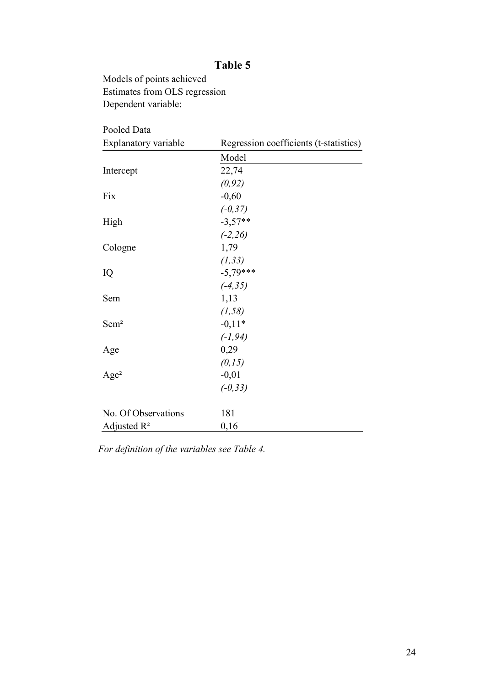## **Table 5**

Models of points achieved Estimates from OLS regression Dependent variable:

| Pooled Data          |                                        |
|----------------------|----------------------------------------|
| Explanatory variable | Regression coefficients (t-statistics) |
|                      | Model                                  |
| Intercept            | 22,74                                  |
|                      | (0, 92)                                |
| Fix                  | $-0,60$                                |
|                      | $(-0, 37)$                             |
| High                 | $-3,57**$                              |
|                      | $(-2, 26)$                             |
| Cologne              | 1,79                                   |
|                      | (1, 33)                                |
| IQ                   | $-5,79***$                             |
|                      | $(-4, 35)$                             |
| Sem                  | 1,13                                   |
|                      | (1, 58)                                |
| Sem <sup>2</sup>     | $-0,11*$                               |
|                      | $(-1, 94)$                             |
| Age                  | 0,29                                   |
|                      | (0, 15)                                |
| Age <sup>2</sup>     | $-0,01$                                |
|                      | $(-0, 33)$                             |
|                      |                                        |
| No. Of Observations  | 181                                    |
| Adjusted $R^2$       | 0,16                                   |

*For definition of the variables see Table 4.*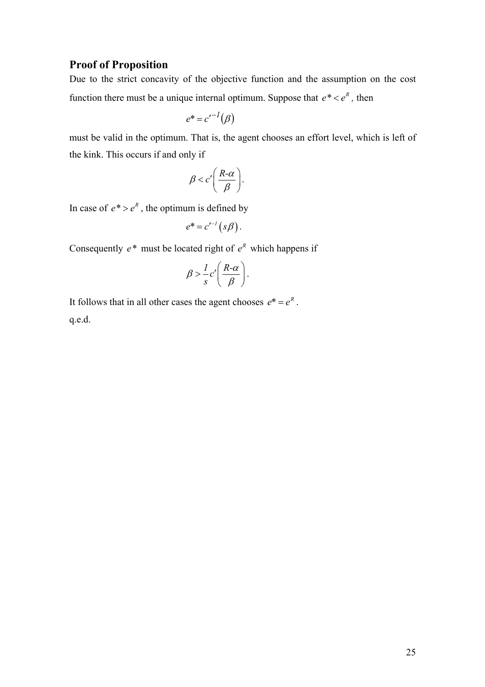## **Proof of Proposition**

Due to the strict concavity of the objective function and the assumption on the cost function there must be a unique internal optimum. Suppose that  $e^* < e^R$ , then

$$
e^* = c'^{-1}(\beta)
$$

must be valid in the optimum. That is, the agent chooses an effort level, which is left of the kink. This occurs if and only if

$$
\beta < c' \bigg( \frac{R \text{-} \alpha}{\beta} \bigg).
$$

In case of  $e^* > e^R$ , the optimum is defined by

$$
e^* = c'^{-1}(s\beta).
$$

Consequently  $e^*$  must be located right of  $e^R$  which happens if

$$
\beta > \frac{1}{s}c'\left(\frac{R-\alpha}{\beta}\right).
$$

It follows that in all other cases the agent chooses  $e^* = e^R$ . q.e.d.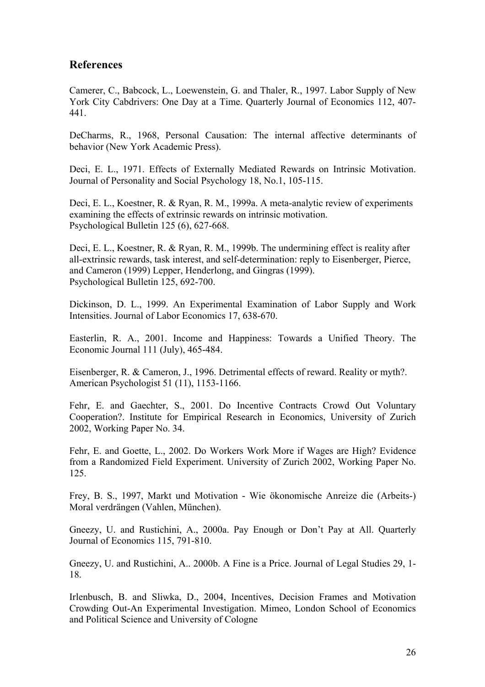## **References**

Camerer, C., Babcock, L., Loewenstein, G. and Thaler, R., 1997. Labor Supply of New York City Cabdrivers: One Day at a Time. Quarterly Journal of Economics 112, 407- 441.

DeCharms, R., 1968, Personal Causation: The internal affective determinants of behavior (New York Academic Press).

Deci, E. L., 1971. Effects of Externally Mediated Rewards on Intrinsic Motivation. Journal of Personality and Social Psychology 18, No.1, 105-115.

Deci, E. L., Koestner, R. & Ryan, R. M., 1999a. A meta-analytic review of experiments examining the effects of extrinsic rewards on intrinsic motivation. Psychological Bulletin 125 (6), 627-668.

Deci, E. L., Koestner, R. & Ryan, R. M., 1999b. The undermining effect is reality after all-extrinsic rewards, task interest, and self-determination: reply to Eisenberger, Pierce, and Cameron (1999) Lepper, Henderlong, and Gingras (1999). Psychological Bulletin 125, 692-700.

Dickinson, D. L., 1999. An Experimental Examination of Labor Supply and Work Intensities. Journal of Labor Economics 17, 638-670.

Easterlin, R. A., 2001. Income and Happiness: Towards a Unified Theory. The Economic Journal 111 (July), 465-484.

Eisenberger, R. & Cameron, J., 1996. Detrimental effects of reward. Reality or myth?. American Psychologist 51 (11), 1153-1166.

Fehr, E. and Gaechter, S., 2001. Do Incentive Contracts Crowd Out Voluntary Cooperation?. Institute for Empirical Research in Economics, University of Zurich 2002, Working Paper No. 34.

Fehr, E. and Goette, L., 2002. Do Workers Work More if Wages are High? Evidence from a Randomized Field Experiment. University of Zurich 2002, Working Paper No. 125.

Frey, B. S., 1997, Markt und Motivation - Wie ökonomische Anreize die (Arbeits-) Moral verdrängen (Vahlen, München).

Gneezy, U. and Rustichini, A., 2000a. Pay Enough or Don't Pay at All. Quarterly Journal of Economics 115, 791-810.

Gneezy, U. and Rustichini, A.. 2000b. A Fine is a Price. Journal of Legal Studies 29, 1- 18.

Irlenbusch, B. and Sliwka, D., 2004, Incentives, Decision Frames and Motivation Crowding Out-An Experimental Investigation. Mimeo, London School of Economics and Political Science and University of Cologne